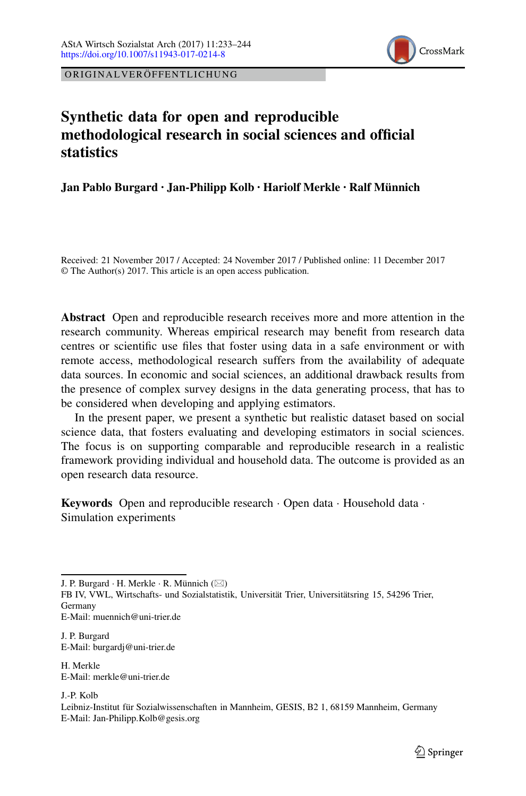

ORIGINALVERÖFFENTLICHUNG

# **Synthetic data for open and reproducible methodological research in social sciences and official statistics**

**Jan Pablo Burgard · Jan-Philipp Kolb · Hariolf Merkle · Ralf Münnich**

Received: 21 November 2017 / Accepted: 24 November 2017 / Published online: 11 December 2017 © The Author(s) 2017. This article is an open access publication.

**Abstract** Open and reproducible research receives more and more attention in the research community. Whereas empirical research may benefit from research data centres or scientific use files that foster using data in a safe environment or with remote access, methodological research suffers from the availability of adequate data sources. In economic and social sciences, an additional drawback results from the presence of complex survey designs in the data generating process, that has to be considered when developing and applying estimators.

In the present paper, we present a synthetic but realistic dataset based on social science data, that fosters evaluating and developing estimators in social sciences. The focus is on supporting comparable and reproducible research in a realistic framework providing individual and household data. The outcome is provided as an open research data resource.

**Keywords** Open and reproducible research · Open data · Household data · Simulation experiments

J. P. Burgard  $\cdot$  H. Merkle  $\cdot$  R. Münnich ( $\boxtimes$ )

FB IV, VWL, Wirtschafts- und Sozialstatistik, Universität Trier, Universitätsring 15, 54296 Trier, Germany

E-Mail: muennich@uni-trier.de

J. P. Burgard E-Mail: burgardj@uni-trier.de

H. Merkle E-Mail: merkle@uni-trier.de

J.-P. Kolb

Leibniz-Institut für Sozialwissenschaften in Mannheim, GESIS, B2 1, 68159 Mannheim, Germany E-Mail: Jan-Philipp.Kolb@gesis.org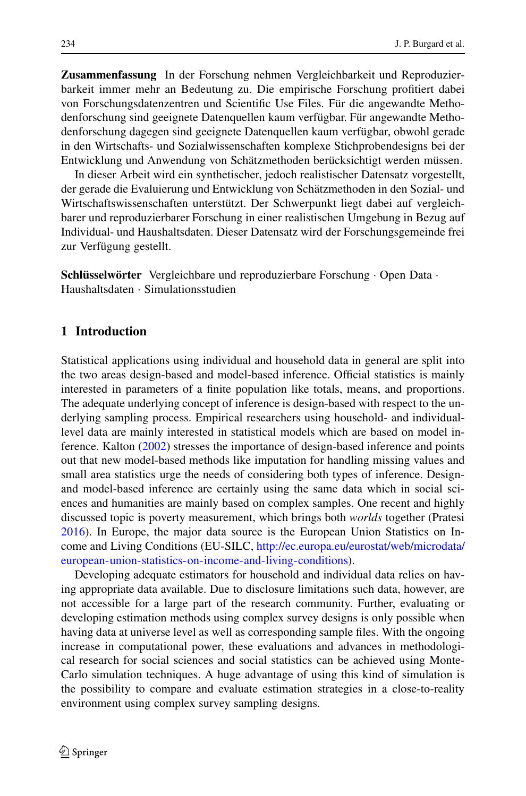**Zusammenfassung** In der Forschung nehmen Vergleichbarkeit und Reproduzierbarkeit immer mehr an Bedeutung zu. Die empirische Forschung profitiert dabei von Forschungsdatenzentren und Scientific Use Files. Für die angewandte Methodenforschung sind geeignete Datenquellen kaum verfügbar. Für angewandte Methodenforschung dagegen sind geeignete Datenquellen kaum verfügbar, obwohl gerade in den Wirtschafts- und Sozialwissenschaften komplexe Stichprobendesigns bei der Entwicklung und Anwendung von Schätzmethoden berücksichtigt werden müssen.

In dieser Arbeit wird ein synthetischer, jedoch realistischer Datensatz vorgestellt, der gerade die Evaluierung und Entwicklung von Schätzmethoden in den Sozial- und Wirtschaftswissenschaften unterstützt. Der Schwerpunkt liegt dabei auf vergleichbarer und reproduzierbarer Forschung in einer realistischen Umgebung in Bezug auf Individual- und Haushaltsdaten. Dieser Datensatz wird der Forschungsgemeinde frei zur Verfügung gestellt.

**Schlüsselwörter** Vergleichbare und reproduzierbare Forschung · Open Data · Haushaltsdaten · Simulationsstudien

# **1 Introduction**

Statistical applications using individual and household data in general are split into the two areas design-based and model-based inference. Official statistics is mainly interested in parameters of a finite population like totals, means, and proportions. The adequate underlying concept of inference is design-based with respect to the underlying sampling process. Empirical researchers using household- and individuallevel data are mainly interested in statistical models which are based on model inference. Kalton [\(2002\)](#page-10-0) stresses the importance of design-based inference and points out that new model-based methods like imputation for handling missing values and small area statistics urge the needs of considering both types of inference. Designand model-based inference are certainly using the same data which in social sciences and humanities are mainly based on complex samples. One recent and highly discussed topic is poverty measurement, which brings both *worlds* together (Pratesi [2016\)](#page-11-0). In Europe, the major data source is the European Union Statistics on Income and Living Conditions (EU-SILC, [http://ec.europa.eu/eurostat/web/microdata/](http://ec.europa.eu/eurostat/web/microdata/european-union-statistics-on-income-and-living-conditions) [european-union-statistics-on-income-and-living-conditions\)](http://ec.europa.eu/eurostat/web/microdata/european-union-statistics-on-income-and-living-conditions).

Developing adequate estimators for household and individual data relies on having appropriate data available. Due to disclosure limitations such data, however, are not accessible for a large part of the research community. Further, evaluating or developing estimation methods using complex survey designs is only possible when having data at universe level as well as corresponding sample files. With the ongoing increase in computational power, these evaluations and advances in methodological research for social sciences and social statistics can be achieved using Monte-Carlo simulation techniques. A huge advantage of using this kind of simulation is the possibility to compare and evaluate estimation strategies in a close-to-reality environment using complex survey sampling designs.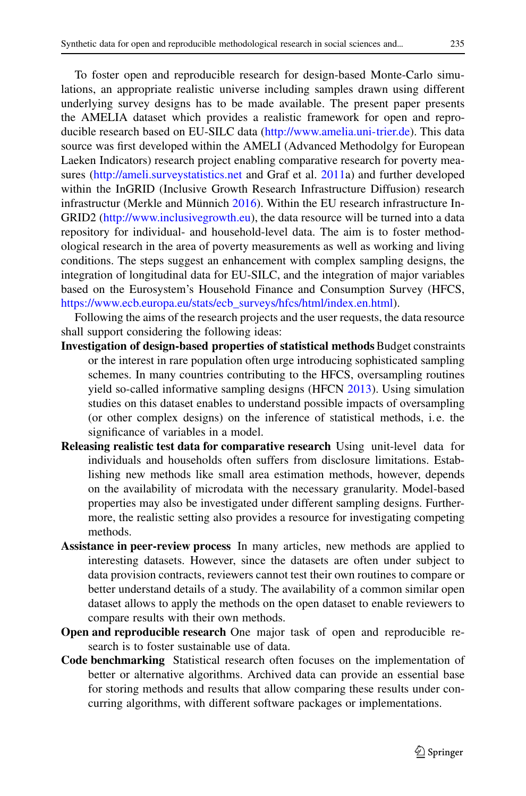To foster open and reproducible research for design-based Monte-Carlo simulations, an appropriate realistic universe including samples drawn using different underlying survey designs has to be made available. The present paper presents the AMELIA dataset which provides a realistic framework for open and reproducible research based on EU-SILC data [\(http://www.amelia.uni-trier.de\)](http://www.amelia.uni-trier.de). This data source was first developed within the AMELI (Advanced Methodolgy for European Laeken Indicators) research project enabling comparative research for poverty measures [\(http://ameli.surveystatistics.net](http://ameli.surveystatistics.net) and Graf et al. [2011a](#page-10-1)) and further developed within the InGRID (Inclusive Growth Research Infrastructure Diffusion) research infrastructur (Merkle and Münnich [2016\)](#page-10-2). Within the EU research infrastructure In-GRID2 [\(http://www.inclusivegrowth.eu\)](http://www.inclusivegrowth.eu), the data resource will be turned into a data repository for individual- and household-level data. The aim is to foster methodological research in the area of poverty measurements as well as working and living conditions. The steps suggest an enhancement with complex sampling designs, the integration of longitudinal data for EU-SILC, and the integration of major variables based on the Eurosystem's Household Finance and Consumption Survey (HFCS, [https://www.ecb.europa.eu/stats/ecb\\_surveys/hfcs/html/index.en.html\)](https://www.ecb.europa.eu/stats/ecb_surveys/hfcs/html/index.en.html).

Following the aims of the research projects and the user requests, the data resource shall support considering the following ideas:

- **Investigation of design-based properties of statistical methods**Budget constraints or the interest in rare population often urge introducing sophisticated sampling schemes. In many countries contributing to the HFCS, oversampling routines yield so-called informative sampling designs (HFCN [2013\)](#page-10-3). Using simulation studies on this dataset enables to understand possible impacts of oversampling (or other complex designs) on the inference of statistical methods, i. e. the significance of variables in a model.
- **Releasing realistic test data for comparative research** Using unit-level data for individuals and households often suffers from disclosure limitations. Establishing new methods like small area estimation methods, however, depends on the availability of microdata with the necessary granularity. Model-based properties may also be investigated under different sampling designs. Furthermore, the realistic setting also provides a resource for investigating competing methods.
- **Assistance in peer-review process** In many articles, new methods are applied to interesting datasets. However, since the datasets are often under subject to data provision contracts, reviewers cannot test their own routines to compare or better understand details of a study. The availability of a common similar open dataset allows to apply the methods on the open dataset to enable reviewers to compare results with their own methods.
- **Open and reproducible research** One major task of open and reproducible research is to foster sustainable use of data.
- **Code benchmarking** Statistical research often focuses on the implementation of better or alternative algorithms. Archived data can provide an essential base for storing methods and results that allow comparing these results under concurring algorithms, with different software packages or implementations.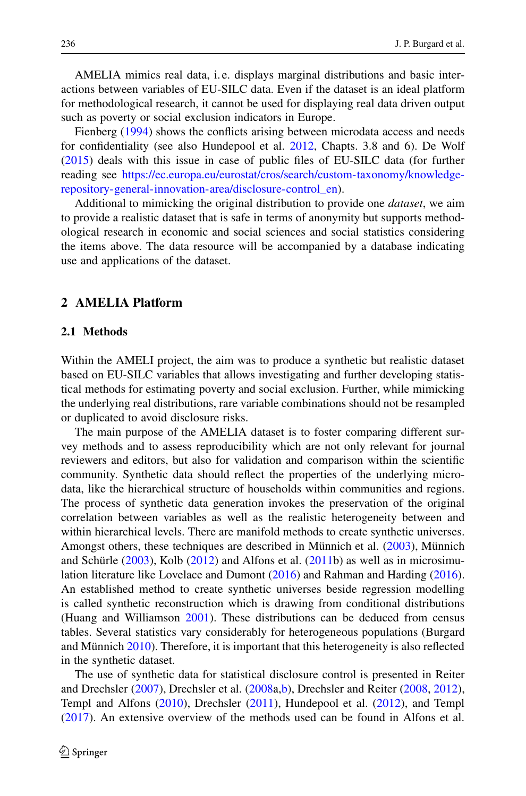AMELIA mimics real data, i.e. displays marginal distributions and basic interactions between variables of EU-SILC data. Even if the dataset is an ideal platform for methodological research, it cannot be used for displaying real data driven output such as poverty or social exclusion indicators in Europe.

Fienberg [\(1994\)](#page-10-4) shows the conflicts arising between microdata access and needs for confidentiality (see also Hundepool et al. [2012,](#page-10-5) Chapts. 3.8 and 6). De Wolf [\(2015\)](#page-11-1) deals with this issue in case of public files of EU-SILC data (for further reading see [https://ec.europa.eu/eurostat/cros/search/custom-taxonomy/knowledge](https://ec.europa.eu/eurostat/cros/search/custom-taxonomy/knowledge-repository-general-innovation-area/disclosure-control_en)[repository-general-innovation-area/disclosure-control\\_en\)](https://ec.europa.eu/eurostat/cros/search/custom-taxonomy/knowledge-repository-general-innovation-area/disclosure-control_en).

Additional to mimicking the original distribution to provide one *dataset*, we aim to provide a realistic dataset that is safe in terms of anonymity but supports methodological research in economic and social sciences and social statistics considering the items above. The data resource will be accompanied by a database indicating use and applications of the dataset.

# **2 AMELIA Platform**

# **2.1 Methods**

Within the AMELI project, the aim was to produce a synthetic but realistic dataset based on EU-SILC variables that allows investigating and further developing statistical methods for estimating poverty and social exclusion. Further, while mimicking the underlying real distributions, rare variable combinations should not be resampled or duplicated to avoid disclosure risks.

The main purpose of the AMELIA dataset is to foster comparing different survey methods and to assess reproducibility which are not only relevant for journal reviewers and editors, but also for validation and comparison within the scientific community. Synthetic data should reflect the properties of the underlying microdata, like the hierarchical structure of households within communities and regions. The process of synthetic data generation invokes the preservation of the original correlation between variables as well as the realistic heterogeneity between and within hierarchical levels. There are manifold methods to create synthetic universes. Amongst others, these techniques are described in Münnich et al. [\(2003\)](#page-10-6), Münnich and Schürle  $(2003)$ , Kolb  $(2012)$  and Alfons et al.  $(2011b)$  $(2011b)$  as well as in microsimulation literature like Lovelace and Dumont [\(2016\)](#page-10-9) and Rahman and Harding [\(2016\)](#page-11-2). An established method to create synthetic universes beside regression modelling is called synthetic reconstruction which is drawing from conditional distributions (Huang and Williamson [2001\)](#page-10-10). These distributions can be deduced from census tables. Several statistics vary considerably for heterogeneous populations (Burgard and Münnich [2010\)](#page-9-1). Therefore, it is important that this heterogeneity is also reflected in the synthetic dataset.

The use of synthetic data for statistical disclosure control is presented in Reiter and Drechsler [\(2007\)](#page-11-3), Drechsler et al. [\(2008a](#page-9-2)[,b\)](#page-10-11), Drechsler and Reiter [\(2008,](#page-10-12) [2012\)](#page-10-13), Templ and Alfons [\(2010\)](#page-11-4), Drechsler [\(2011\)](#page-9-3), Hundepool et al. [\(2012\)](#page-10-5), and Templ [\(2017\)](#page-11-5). An extensive overview of the methods used can be found in Alfons et al.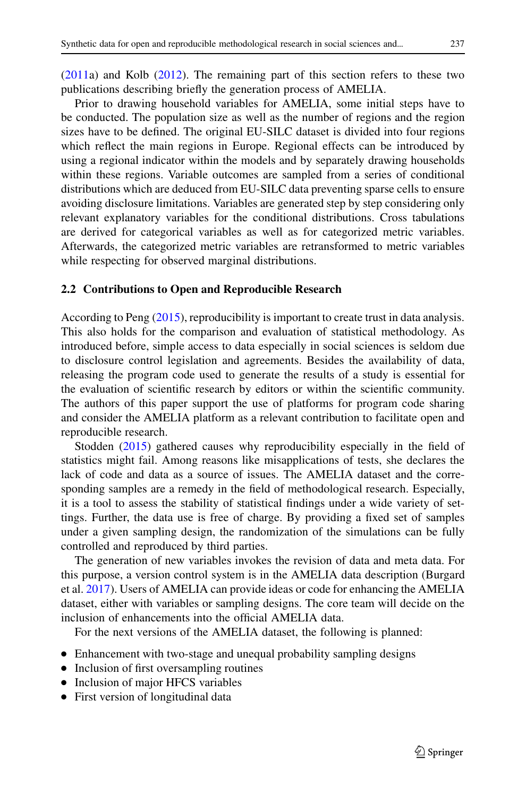[\(2011a](#page-9-4)) and Kolb [\(2012\)](#page-10-8). The remaining part of this section refers to these two publications describing briefly the generation process of AMELIA.

Prior to drawing household variables for AMELIA, some initial steps have to be conducted. The population size as well as the number of regions and the region sizes have to be defined. The original EU-SILC dataset is divided into four regions which reflect the main regions in Europe. Regional effects can be introduced by using a regional indicator within the models and by separately drawing households within these regions. Variable outcomes are sampled from a series of conditional distributions which are deduced from EU-SILC data preventing sparse cells to ensure avoiding disclosure limitations. Variables are generated step by step considering only relevant explanatory variables for the conditional distributions. Cross tabulations are derived for categorical variables as well as for categorized metric variables. Afterwards, the categorized metric variables are retransformed to metric variables while respecting for observed marginal distributions.

#### **2.2 Contributions to Open and Reproducible Research**

According to Peng [\(2015\)](#page-11-6), reproducibility is important to create trust in data analysis. This also holds for the comparison and evaluation of statistical methodology. As introduced before, simple access to data especially in social sciences is seldom due to disclosure control legislation and agreements. Besides the availability of data, releasing the program code used to generate the results of a study is essential for the evaluation of scientific research by editors or within the scientific community. The authors of this paper support the use of platforms for program code sharing and consider the AMELIA platform as a relevant contribution to facilitate open and reproducible research.

Stodden [\(2015\)](#page-11-7) gathered causes why reproducibility especially in the field of statistics might fail. Among reasons like misapplications of tests, she declares the lack of code and data as a source of issues. The AMELIA dataset and the corresponding samples are a remedy in the field of methodological research. Especially, it is a tool to assess the stability of statistical findings under a wide variety of settings. Further, the data use is free of charge. By providing a fixed set of samples under a given sampling design, the randomization of the simulations can be fully controlled and reproduced by third parties.

The generation of new variables invokes the revision of data and meta data. For this purpose, a version control system is in the AMELIA data description (Burgard et al. [2017\)](#page-9-5). Users of AMELIA can provide ideas or code for enhancing the AMELIA dataset, either with variables or sampling designs. The core team will decide on the inclusion of enhancements into the official AMELIA data.

For the next versions of the AMELIA dataset, the following is planned:

- Enhancement with two-stage and unequal probability sampling designs
- Inclusion of first oversampling routines
- Inclusion of major HFCS variables
- First version of longitudinal data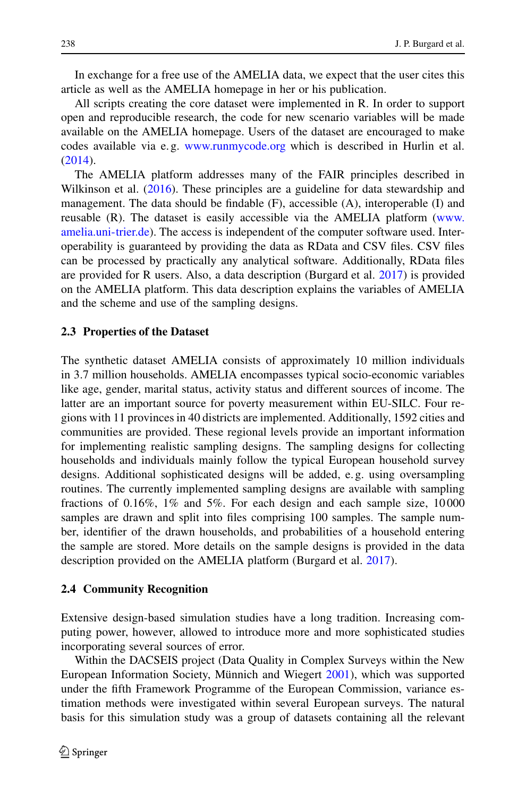In exchange for a free use of the AMELIA data, we expect that the user cites this article as well as the AMELIA homepage in her or his publication.

All scripts creating the core dataset were implemented in R. In order to support open and reproducible research, the code for new scenario variables will be made available on the AMELIA homepage. Users of the dataset are encouraged to make codes available via e.g. [www.runmycode.org](http://www.runmycode.org) which is described in Hurlin et al. [\(2014\)](#page-10-14).

The AMELIA platform addresses many of the FAIR principles described in Wilkinson et al. [\(2016\)](#page-11-8). These principles are a guideline for data stewardship and management. The data should be findable (F), accessible (A), interoperable (I) and reusable (R). The dataset is easily accessible via the AMELIA platform [\(www.](http://www.amelia.uni-trier.de) [amelia.uni-trier.de\)](http://www.amelia.uni-trier.de). The access is independent of the computer software used. Interoperability is guaranteed by providing the data as RData and CSV files. CSV files can be processed by practically any analytical software. Additionally, RData files are provided for R users. Also, a data description (Burgard et al. [2017\)](#page-9-5) is provided on the AMELIA platform. This data description explains the variables of AMELIA and the scheme and use of the sampling designs.

#### **2.3 Properties of the Dataset**

The synthetic dataset AMELIA consists of approximately 10 million individuals in 3.7 million households. AMELIA encompasses typical socio-economic variables like age, gender, marital status, activity status and different sources of income. The latter are an important source for poverty measurement within EU-SILC. Four regions with 11 provinces in 40 districts are implemented. Additionally, 1592 cities and communities are provided. These regional levels provide an important information for implementing realistic sampling designs. The sampling designs for collecting households and individuals mainly follow the typical European household survey designs. Additional sophisticated designs will be added, e. g. using oversampling routines. The currently implemented sampling designs are available with sampling fractions of 0.16%, 1% and 5%. For each design and each sample size, 10 000 samples are drawn and split into files comprising 100 samples. The sample number, identifier of the drawn households, and probabilities of a household entering the sample are stored. More details on the sample designs is provided in the data description provided on the AMELIA platform (Burgard et al. [2017\)](#page-9-5).

#### **2.4 Community Recognition**

Extensive design-based simulation studies have a long tradition. Increasing computing power, however, allowed to introduce more and more sophisticated studies incorporating several sources of error.

Within the DACSEIS project (Data Quality in Complex Surveys within the New European Information Society, Münnich and Wiegert [2001\)](#page-11-9), which was supported under the fifth Framework Programme of the European Commission, variance estimation methods were investigated within several European surveys. The natural basis for this simulation study was a group of datasets containing all the relevant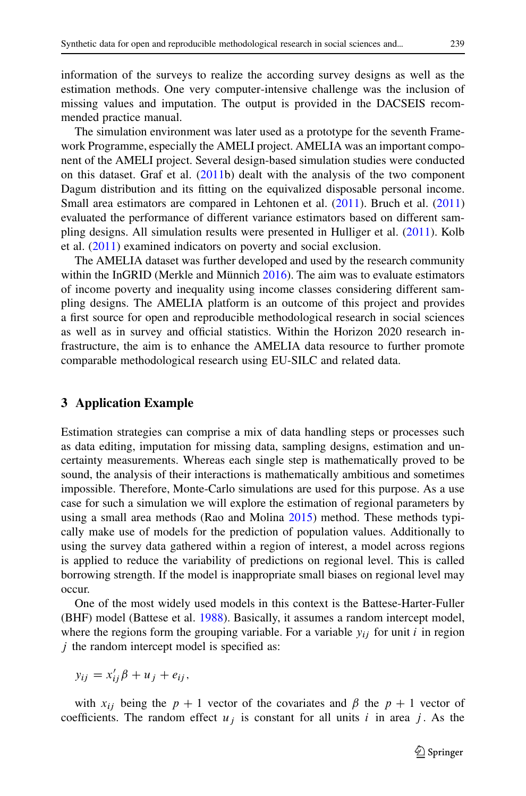information of the surveys to realize the according survey designs as well as the estimation methods. One very computer-intensive challenge was the inclusion of missing values and imputation. The output is provided in the DACSEIS recommended practice manual.

The simulation environment was later used as a prototype for the seventh Framework Programme, especially the AMELI project. AMELIA was an important component of the AMELI project. Several design-based simulation studies were conducted on this dataset. Graf et al. [\(2011b](#page-10-15)) dealt with the analysis of the two component Dagum distribution and its fitting on the equivalized disposable personal income. Small area estimators are compared in Lehtonen et al. [\(2011\)](#page-10-16). Bruch et al. [\(2011\)](#page-9-6) evaluated the performance of different variance estimators based on different sampling designs. All simulation results were presented in Hulliger et al. [\(2011\)](#page-10-17). Kolb et al. [\(2011\)](#page-10-18) examined indicators on poverty and social exclusion.

The AMELIA dataset was further developed and used by the research community within the InGRID (Merkle and Münnich [2016\)](#page-10-2). The aim was to evaluate estimators of income poverty and inequality using income classes considering different sampling designs. The AMELIA platform is an outcome of this project and provides a first source for open and reproducible methodological research in social sciences as well as in survey and official statistics. Within the Horizon 2020 research infrastructure, the aim is to enhance the AMELIA data resource to further promote comparable methodological research using EU-SILC and related data.

# **3 Application Example**

Estimation strategies can comprise a mix of data handling steps or processes such as data editing, imputation for missing data, sampling designs, estimation and uncertainty measurements. Whereas each single step is mathematically proved to be sound, the analysis of their interactions is mathematically ambitious and sometimes impossible. Therefore, Monte-Carlo simulations are used for this purpose. As a use case for such a simulation we will explore the estimation of regional parameters by using a small area methods (Rao and Molina [2015\)](#page-11-10) method. These methods typically make use of models for the prediction of population values. Additionally to using the survey data gathered within a region of interest, a model across regions is applied to reduce the variability of predictions on regional level. This is called borrowing strength. If the model is inappropriate small biases on regional level may occur.

One of the most widely used models in this context is the Battese-Harter-Fuller (BHF) model (Battese et al. [1988\)](#page-9-7). Basically, it assumes a random intercept model, where the regions form the grouping variable. For a variable  $y_{ij}$  for unit i in region  $j$  the random intercept model is specified as:

$$
y_{ij} = x'_{ij}\beta + u_j + e_{ij},
$$

with  $x_{ij}$  being the  $p + 1$  vector of the covariates and  $\beta$  the  $p + 1$  vector of coefficients. The random effect  $u_i$  is constant for all units i in area j. As the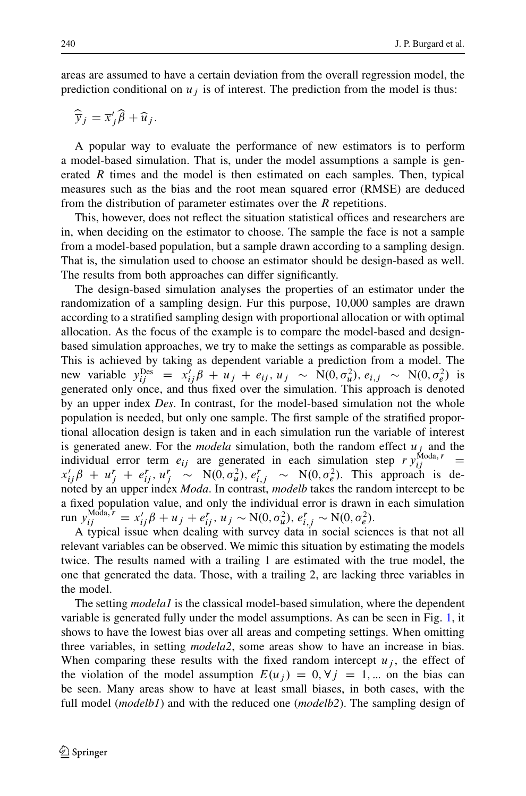areas are assumed to have a certain deviation from the overall regression model, the bbdream deviation from the overall regression model, the prediction conditional on  $u_j$  is of interest. The prediction from the model is thus:<br> $\hat{\overline{y}}_j = \overline{x}_j' \hat{\beta} + \hat{u}_j$ .

$$
\widehat{\overline{y}}_j = \overline{x}_j' \widehat{\beta} + \widehat{u}_j.
$$

A popular way to evaluate the performance of new estimators is to perform a model-based simulation. That is, under the model assumptions a sample is generated  $R$  times and the model is then estimated on each samples. Then, typical measures such as the bias and the root mean squared error (RMSE) are deduced from the distribution of parameter estimates over the  *repetitions.* 

This, however, does not reflect the situation statistical offices and researchers are in, when deciding on the estimator to choose. The sample the face is not a sample from a model-based population, but a sample drawn according to a sampling design. That is, the simulation used to choose an estimator should be design-based as well. The results from both approaches can differ significantly.

The design-based simulation analyses the properties of an estimator under the randomization of a sampling design. Fur this purpose, 10,000 samples are drawn according to a stratified sampling design with proportional allocation or with optimal allocation. As the focus of the example is to compare the model-based and designbased simulation approaches, we try to make the settings as comparable as possible. This is achieved by taking as dependent variable a prediction from a model. The new variable  $y_{ij}^{\text{Des}} = x_{ij}'\beta + u_j + e_{ij}, u_j \sim N(0, \sigma_u^2), e_{i,j} \sim N(0, \sigma_e^2)$  is generated only once, and thus fixed over the simulation. This approach is denoted by an upper index *Des*. In contrast, for the model-based simulation not the whole population is needed, but only one sample. The first sample of the stratified proportional allocation design is taken and in each simulation run the variable of interest is generated anew. For the *modela* simulation, both the random effect  $u_i$  and the individual error term  $e_{ij}$  are generated in each simulation step  $r y_{ij}^{\text{Moda}, r}$  =  $x'_{ij}\beta + u''_j + e''_{ij}, u''_j \sim N(0, \sigma_u^2), e''_{i,j} \sim N(0, \sigma_e^2)$ . This approach is denoted by an upper index *Moda*. In contrast, *modelb* takes the random intercept to be a fixed population value, and only the individual error is drawn in each simulation run  $y_{ij}^{\text{Moda}, r} = x_{ij}'\beta + u_j + e_{ij}^r, u_j \sim \text{N}(0, \sigma_u^2), e_{i,j}^r \sim \text{N}(0, \sigma_e^2).$ 

A typical issue when dealing with survey data in social sciences is that not all relevant variables can be observed. We mimic this situation by estimating the models twice. The results named with a trailing 1 are estimated with the true model, the one that generated the data. Those, with a trailing 2, are lacking three variables in the model.

The setting *modela1* is the classical model-based simulation, where the dependent variable is generated fully under the model assumptions. As can be seen in Fig. [1,](#page-8-0) it shows to have the lowest bias over all areas and competing settings. When omitting three variables, in setting *modela2*, some areas show to have an increase in bias. When comparing these results with the fixed random intercept  $u_j$ , the effect of the violation of the model assumption  $E(u_j) = 0, \forall j = 1, ...$  on the bias can be seen. Many areas show to have at least small biases, in both cases, with the full model (*modelb1*) and with the reduced one (*modelb2*). The sampling design of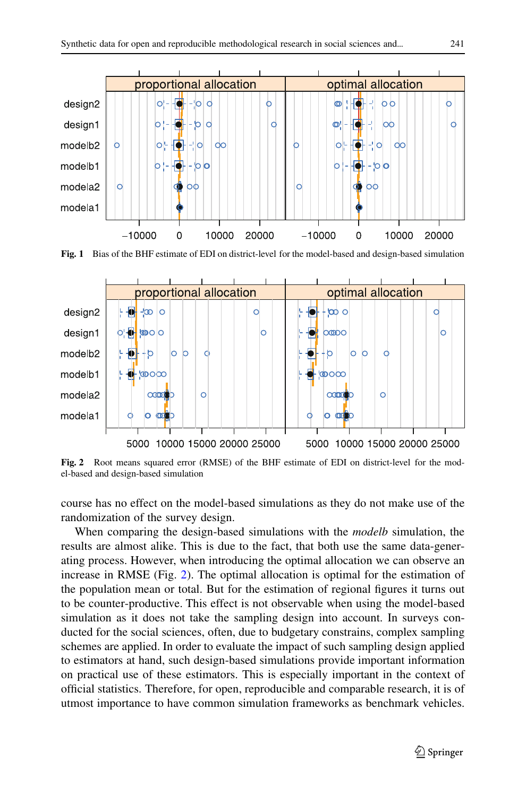

<span id="page-8-0"></span>**Fig. 1** Bias of the BHF estimate of EDI on district-level for the model-based and design-based simulation



<span id="page-8-1"></span>**Fig. 2** Root means squared error (RMSE) of the BHF estimate of EDI on district-level for the model-based and design-based simulation

course has no effect on the model-based simulations as they do not make use of the randomization of the survey design.

When comparing the design-based simulations with the *modelb* simulation, the results are almost alike. This is due to the fact, that both use the same data-generating process. However, when introducing the optimal allocation we can observe an increase in RMSE (Fig. [2\)](#page-8-1). The optimal allocation is optimal for the estimation of the population mean or total. But for the estimation of regional figures it turns out to be counter-productive. This effect is not observable when using the model-based simulation as it does not take the sampling design into account. In surveys conducted for the social sciences, often, due to budgetary constrains, complex sampling schemes are applied. In order to evaluate the impact of such sampling design applied to estimators at hand, such design-based simulations provide important information on practical use of these estimators. This is especially important in the context of official statistics. Therefore, for open, reproducible and comparable research, it is of utmost importance to have common simulation frameworks as benchmark vehicles.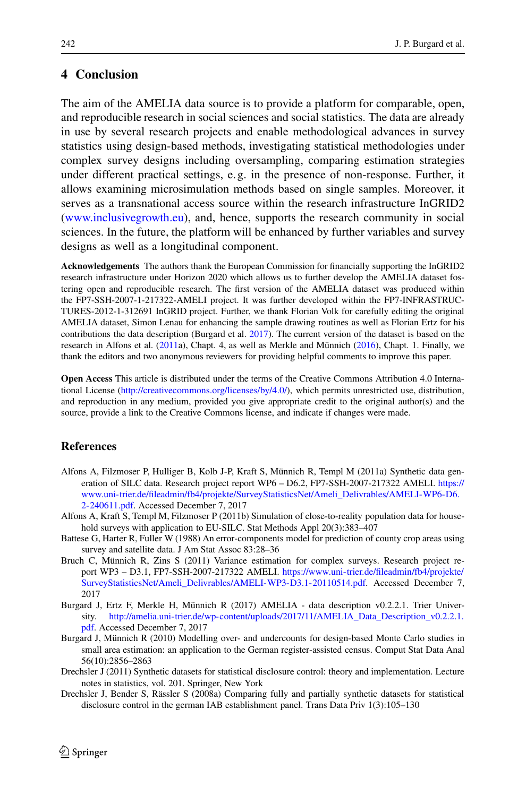# **4 Conclusion**

The aim of the AMELIA data source is to provide a platform for comparable, open, and reproducible research in social sciences and social statistics. The data are already in use by several research projects and enable methodological advances in survey statistics using design-based methods, investigating statistical methodologies under complex survey designs including oversampling, comparing estimation strategies under different practical settings, e. g. in the presence of non-response. Further, it allows examining microsimulation methods based on single samples. Moreover, it serves as a transnational access source within the research infrastructure InGRID2 [\(www.inclusivegrowth.eu\)](http://www.inclusivegrowth.eu), and, hence, supports the research community in social sciences. In the future, the platform will be enhanced by further variables and survey designs as well as a longitudinal component.

**Acknowledgements** The authors thank the European Commission for financially supporting the InGRID2 research infrastructure under Horizon 2020 which allows us to further develop the AMELIA dataset fostering open and reproducible research. The first version of the AMELIA dataset was produced within the FP7-SSH-2007-1-217322-AMELI project. It was further developed within the FP7-INFRASTRUC-TURES-2012-1-312691 InGRID project. Further, we thank Florian Volk for carefully editing the original AMELIA dataset, Simon Lenau for enhancing the sample drawing routines as well as Florian Ertz for his contributions the data description (Burgard et al. [2017\)](#page-9-5). The current version of the dataset is based on the research in Alfons et al. [\(2011a](#page-9-4)), Chapt. 4, as well as Merkle and Münnich [\(2016\)](#page-10-2), Chapt. 1. Finally, we thank the editors and two anonymous reviewers for providing helpful comments to improve this paper.

**Open Access** This article is distributed under the terms of the Creative Commons Attribution 4.0 International License [\(http://creativecommons.org/licenses/by/4.0/\)](http://creativecommons.org/licenses/by/4.0/), which permits unrestricted use, distribution, and reproduction in any medium, provided you give appropriate credit to the original author(s) and the source, provide a link to the Creative Commons license, and indicate if changes were made.

# **References**

- <span id="page-9-4"></span>Alfons A, Filzmoser P, Hulliger B, Kolb J-P, Kraft S, Münnich R, Templ M (2011a) Synthetic data generation of SILC data. Research project report WP6 – D6.2, FP7-SSH-2007-217322 AMELI. [https://](https://www.uni-trier.de/fileadmin/fb4/projekte/SurveyStatisticsNet/Ameli_Delivrables/AMELI-WP6-D6.2-240611.pdf) [www.uni-trier.de/fileadmin/fb4/projekte/SurveyStatisticsNet/Ameli\\_Delivrables/AMELI-WP6-D6.](https://www.uni-trier.de/fileadmin/fb4/projekte/SurveyStatisticsNet/Ameli_Delivrables/AMELI-WP6-D6.2-240611.pdf) [2-240611.pdf.](https://www.uni-trier.de/fileadmin/fb4/projekte/SurveyStatisticsNet/Ameli_Delivrables/AMELI-WP6-D6.2-240611.pdf) Accessed December 7, 2017
- <span id="page-9-0"></span>Alfons A, Kraft S, Templ M, Filzmoser P (2011b) Simulation of close-to-reality population data for household surveys with application to EU-SILC. Stat Methods Appl 20(3):383–407
- <span id="page-9-7"></span>Battese G, Harter R, Fuller W (1988) An error-components model for prediction of county crop areas using survey and satellite data. J Am Stat Assoc 83:28–36
- <span id="page-9-6"></span>Bruch C, Münnich R, Zins S (2011) Variance estimation for complex surveys. Research project report WP3 – D3.1, FP7-SSH-2007-217322 AMELI. [https://www.uni-trier.de/fileadmin/fb4/projekte/](https://www.uni-trier.de/fileadmin/fb4/projekte/SurveyStatisticsNet/Ameli_Delivrables/AMELI-WP3-D3.1-20110514.pdf) [SurveyStatisticsNet/Ameli\\_Delivrables/AMELI-WP3-D3.1-20110514.pdf.](https://www.uni-trier.de/fileadmin/fb4/projekte/SurveyStatisticsNet/Ameli_Delivrables/AMELI-WP3-D3.1-20110514.pdf) Accessed December 7, 2017
- <span id="page-9-5"></span>Burgard J, Ertz F, Merkle H, Münnich R (2017) AMELIA - data description v0.2.2.1. Trier University. [http://amelia.uni-trier.de/wp-content/uploads/2017/11/AMELIA\\_Data\\_Description\\_v0.2.2.1.](http://amelia.uni-trier.de/wp-content/uploads/2017/11/AMELIA_Data_Description_v0.2.2.1.pdf) [pdf.](http://amelia.uni-trier.de/wp-content/uploads/2017/11/AMELIA_Data_Description_v0.2.2.1.pdf) Accessed December 7, 2017
- <span id="page-9-1"></span>Burgard J, Münnich R (2010) Modelling over- and undercounts for design-based Monte Carlo studies in small area estimation: an application to the German register-assisted census. Comput Stat Data Anal 56(10):2856–2863
- <span id="page-9-3"></span>Drechsler J (2011) Synthetic datasets for statistical disclosure control: theory and implementation. Lecture notes in statistics, vol. 201. Springer, New York
- <span id="page-9-2"></span>Drechsler J, Bender S, Rässler S (2008a) Comparing fully and partially synthetic datasets for statistical disclosure control in the german IAB establishment panel. Trans Data Priv 1(3):105–130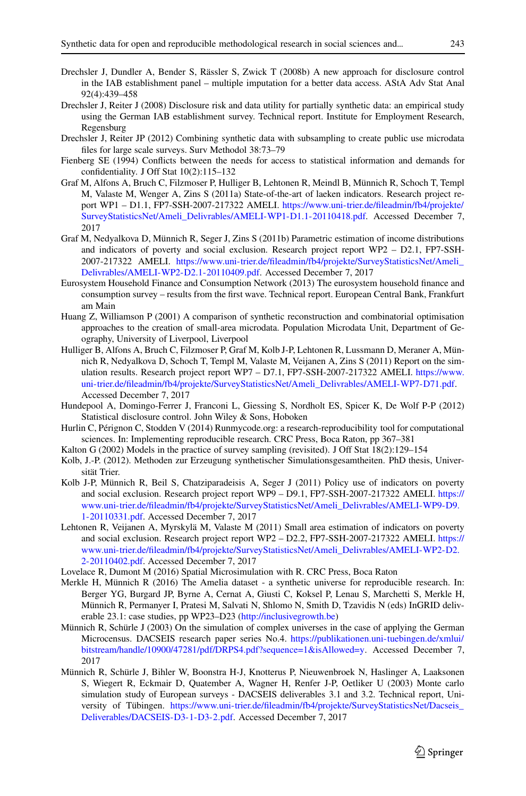- <span id="page-10-11"></span>Drechsler J, Dundler A, Bender S, Rässler S, Zwick T (2008b) A new approach for disclosure control in the IAB establishment panel – multiple imputation for a better data access. AStA Adv Stat Anal 92(4):439–458
- <span id="page-10-12"></span>Drechsler J, Reiter J (2008) Disclosure risk and data utility for partially synthetic data: an empirical study using the German IAB establishment survey. Technical report. Institute for Employment Research, Regensburg
- <span id="page-10-13"></span><span id="page-10-4"></span>Drechsler J, Reiter JP (2012) Combining synthetic data with subsampling to create public use microdata files for large scale surveys. Surv Methodol 38:73–79
- <span id="page-10-1"></span>Fienberg SE (1994) Conflicts between the needs for access to statistical information and demands for confidentiality. J Off Stat 10(2):115–132
- Graf M, Alfons A, Bruch C, Filzmoser P, Hulliger B, Lehtonen R, Meindl B, Münnich R, Schoch T, Templ M, Valaste M, Wenger A, Zins S (2011a) State-of-the-art of laeken indicators. Research project report WP1 – D1.1, FP7-SSH-2007-217322 AMELI. [https://www.uni-trier.de/fileadmin/fb4/projekte/](https://www.uni-trier.de/fileadmin/fb4/projekte/SurveyStatisticsNet/Ameli_Delivrables/AMELI-WP1-D1.1-20110418.pdf) [SurveyStatisticsNet/Ameli\\_Delivrables/AMELI-WP1-D1.1-20110418.pdf.](https://www.uni-trier.de/fileadmin/fb4/projekte/SurveyStatisticsNet/Ameli_Delivrables/AMELI-WP1-D1.1-20110418.pdf) Accessed December 7, 2017
- <span id="page-10-15"></span>Graf M, Nedyalkova D, Münnich R, Seger J, Zins S (2011b) Parametric estimation of income distributions and indicators of poverty and social exclusion. Research project report WP2 – D2.1, FP7-SSH-2007-217322 AMELI. [https://www.uni-trier.de/fileadmin/fb4/projekte/SurveyStatisticsNet/Ameli\\_](https://www.uni-trier.de/fileadmin/fb4/projekte/SurveyStatisticsNet/Ameli_Delivrables/AMELI-WP2-D2.1-20110409.pdf) [Delivrables/AMELI-WP2-D2.1-20110409.pdf.](https://www.uni-trier.de/fileadmin/fb4/projekte/SurveyStatisticsNet/Ameli_Delivrables/AMELI-WP2-D2.1-20110409.pdf) Accessed December 7, 2017
- <span id="page-10-3"></span>Eurosystem Household Finance and Consumption Network (2013) The eurosystem household finance and consumption survey – results from the first wave. Technical report. European Central Bank, Frankfurt am Main
- <span id="page-10-10"></span>Huang Z, Williamson P (2001) A comparison of synthetic reconstruction and combinatorial optimisation approaches to the creation of small-area microdata. Population Microdata Unit, Department of Geography, University of Liverpool, Liverpool
- <span id="page-10-17"></span>Hulliger B, Alfons A, Bruch C, Filzmoser P, Graf M, Kolb J-P, Lehtonen R, Lussmann D, Meraner A, Münnich R, Nedyalkova D, Schoch T, Templ M, Valaste M, Veijanen A, Zins S (2011) Report on the simulation results. Research project report WP7 – D7.1, FP7-SSH-2007-217322 AMELI. [https://www.](https://www.uni-trier.de/fileadmin/fb4/projekte/SurveyStatisticsNet/Ameli_Delivrables/AMELI-WP7-D71.pdf) [uni-trier.de/fileadmin/fb4/projekte/SurveyStatisticsNet/Ameli\\_Delivrables/AMELI-WP7-D71.pdf.](https://www.uni-trier.de/fileadmin/fb4/projekte/SurveyStatisticsNet/Ameli_Delivrables/AMELI-WP7-D71.pdf) Accessed December 7, 2017
- <span id="page-10-5"></span>Hundepool A, Domingo-Ferrer J, Franconi L, Giessing S, Nordholt ES, Spicer K, De Wolf P-P (2012) Statistical disclosure control. John Wiley & Sons, Hoboken
- <span id="page-10-14"></span>Hurlin C, Pérignon C, Stodden V (2014) Runmycode.org: a research-reproducibility tool for computational sciences. In: Implementing reproducible research. CRC Press, Boca Raton, pp 367–381
- <span id="page-10-8"></span><span id="page-10-0"></span>Kalton G (2002) Models in the practice of survey sampling (revisited). J Off Stat 18(2):129–154
- Kolb, J.-P. (2012). Methoden zur Erzeugung synthetischer Simulationsgesamtheiten. PhD thesis, Universität Trier.
- <span id="page-10-18"></span>Kolb J-P, Münnich R, Beil S, Chatziparadeisis A, Seger J (2011) Policy use of indicators on poverty and social exclusion. Research project report WP9 – D9.1, FP7-SSH-2007-217322 AMELI. [https://](https://www.uni-trier.de/fileadmin/fb4/projekte/SurveyStatisticsNet/Ameli_Delivrables/AMELI-WP9-D9.1-20110331.pdf) [www.uni-trier.de/fileadmin/fb4/projekte/SurveyStatisticsNet/Ameli\\_Delivrables/AMELI-WP9-D9.](https://www.uni-trier.de/fileadmin/fb4/projekte/SurveyStatisticsNet/Ameli_Delivrables/AMELI-WP9-D9.1-20110331.pdf) [1-20110331.pdf.](https://www.uni-trier.de/fileadmin/fb4/projekte/SurveyStatisticsNet/Ameli_Delivrables/AMELI-WP9-D9.1-20110331.pdf) Accessed December 7, 2017
- <span id="page-10-16"></span>Lehtonen R, Veijanen A, Myrskylä M, Valaste M (2011) Small area estimation of indicators on poverty and social exclusion. Research project report WP2 – D2.2, FP7-SSH-2007-217322 AMELI. [https://](https://www.uni-trier.de/fileadmin/fb4/projekte/SurveyStatisticsNet/Ameli_Delivrables/AMELI-WP2-D2.2-20110402.pdf) [www.uni-trier.de/fileadmin/fb4/projekte/SurveyStatisticsNet/Ameli\\_Delivrables/AMELI-WP2-D2.](https://www.uni-trier.de/fileadmin/fb4/projekte/SurveyStatisticsNet/Ameli_Delivrables/AMELI-WP2-D2.2-20110402.pdf) [2-20110402.pdf.](https://www.uni-trier.de/fileadmin/fb4/projekte/SurveyStatisticsNet/Ameli_Delivrables/AMELI-WP2-D2.2-20110402.pdf) Accessed December 7, 2017
- <span id="page-10-9"></span><span id="page-10-2"></span>Lovelace R, Dumont M (2016) Spatial Microsimulation with R. CRC Press, Boca Raton
- Merkle H, Münnich R (2016) The Amelia dataset a synthetic universe for reproducible research. In: Berger YG, Burgard JP, Byrne A, Cernat A, Giusti C, Koksel P, Lenau S, Marchetti S, Merkle H, Münnich R, Permanyer I, Pratesi M, Salvati N, Shlomo N, Smith D, Tzavidis N (eds) InGRID deliverable 23.1: case studies, pp WP23–D23 [\(http://inclusivegrowth.be\)](http://inclusivegrowth.be)
- <span id="page-10-7"></span>Münnich R, Schürle J (2003) On the simulation of complex universes in the case of applying the German Microcensus. DACSEIS research paper series No.4. [https://publikationen.uni-tuebingen.de/xmlui/](https://publikationen.uni-tuebingen.de/xmlui/bitstream/handle/10900/47281/pdf/DRPS4.pdf?sequence=1&isAllowed=y) [bitstream/handle/10900/47281/pdf/DRPS4.pdf?sequence=1&isAllowed=y.](https://publikationen.uni-tuebingen.de/xmlui/bitstream/handle/10900/47281/pdf/DRPS4.pdf?sequence=1&isAllowed=y) Accessed December 7, 2017
- <span id="page-10-6"></span>Münnich R, Schürle J, Bihler W, Boonstra H-J, Knotterus P, Nieuwenbroek N, Haslinger A, Laaksonen S, Wiegert R, Eckmair D, Quatember A, Wagner H, Renfer J-P, Oetliker U (2003) Monte carlo simulation study of European surveys - DACSEIS deliverables 3.1 and 3.2. Technical report, University of Tübingen. [https://www.uni-trier.de/fileadmin/fb4/projekte/SurveyStatisticsNet/Dacseis\\_](https://www.uni-trier.de/fileadmin/fb4/projekte/SurveyStatisticsNet/Dacseis_Deliverables/DACSEIS-D3-1-D3-2.pdf) [Deliverables/DACSEIS-D3-1-D3-2.pdf.](https://www.uni-trier.de/fileadmin/fb4/projekte/SurveyStatisticsNet/Dacseis_Deliverables/DACSEIS-D3-1-D3-2.pdf) Accessed December 7, 2017